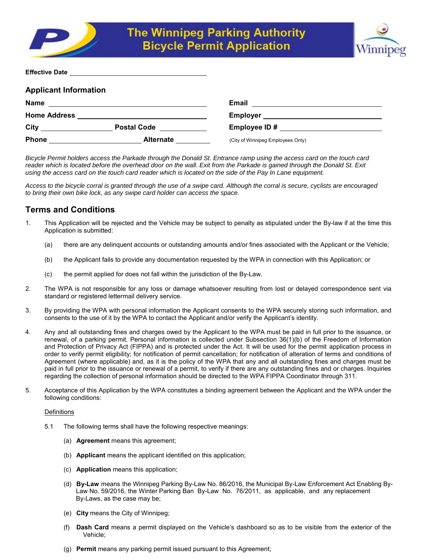



| <b>Effective Date</b> |  |
|-----------------------|--|
|                       |  |

| <b>Applicant Information</b> |                    |                                   |  |
|------------------------------|--------------------|-----------------------------------|--|
| Name                         |                    | <b>Email</b>                      |  |
| <b>Home Address</b>          |                    | <b>Employer</b>                   |  |
| City                         | <b>Postal Code</b> | Employee ID#                      |  |
| Phone                        | <b>Alternate</b>   | (City of Winnipeg Employees Only) |  |

*Bicycle Permit holders access the Parkade through the Donald St. Entrance ramp using the access card on the touch card reader which is located before the overhead door on the wall. Exit from the Parkade is gained through the Donald St. Exit using the access card on the touch card reader which is located on the side of the Pay In Lane equipment.* 

*Access to the bicycle corral is granted through the use of a swipe card. Although the corral is secure, cyclists are encouraged to bring their own bike lock, as any swipe card holder can access the space.* 

# **Terms and Conditions**

- 1. This Application will be rejected and the Vehicle may be subject to penalty as stipulated under the By-law if at the time this Application is submitted:
	- (a) there are any delinquent accounts or outstanding amounts and/or fines associated with the Applicant or the Vehicle;
	- (b) the Applicant fails to provide any documentation requested by the WPA in connection with this Application; or
	- (c) the permit applied for does not fall within the jurisdiction of the By-Law.
- 2. The WPA is not responsible for any loss or damage whatsoever resulting from lost or delayed correspondence sent via standard or registered lettermail delivery service.
- 3. By providing the WPA with personal information the Applicant consents to the WPA securely storing such information, and consents to the use of it by the WPA to contact the Applicant and/or verify the Applicant's identity.
- 4. Any and all outstanding fines and charges owed by the Applicant to the WPA must be paid in full prior to the issuance, or renewal, of a parking permit. Personal information is collected under Subsection 36(1)(b) of the Freedom of Information and Protection of Privacy Act (FIPPA) and is protected under the Act. It will be used for the permit application process in order to verify permit eligibility; for notification of permit cancellation; for notification of alteration of terms and conditions of Agreement (where applicable) and, as it is the policy of the WPA that any and all outstanding fines and charges must be paid in full prior to the issuance or renewal of a permit, to verify if there are any outstanding fines and or charges. Inquiries regarding the collection of personal information should be directed to the WPA FIPPA Coordinator through 311.
- 5. Acceptance of this Application by the WPA constitutes a binding agreement between the Applicant and the WPA under the following conditions:

## **Definitions**

- 5.1 The following terms shall have the following respective meanings:
	- (a) **Agreement** means this agreement;
	- (b) **Applicant** means the applicant identified on this application;
	- (c) **Application** means this application;
	- (d) **By-Law** means the Winnipeg Parking By-Law No. 86/2016, the Municipal By-Law Enforcement Act Enabling By- Law No. 59/2016, the Winter Parking Ban By-Law No. 76/2011, as applicable, and any replacement By-Laws, as the case may be;
	- (e) **City** means the City of Winnipeg;
	- (f) **Dash Card** means a permit displayed on the Vehicle's dashboard so as to be visible from the exterior of the Vehicle;
	- (g) **Permit** means any parking permit issued pursuant to this Agreement;